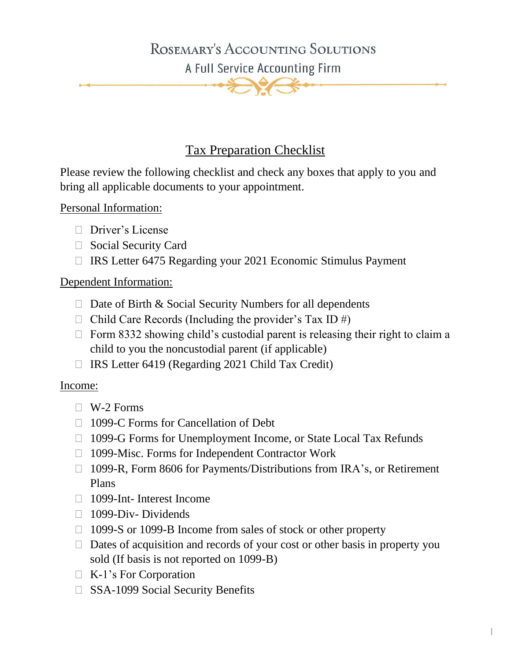## ROSEMARY'S ACCOUNTING SOLUTIONS

A Full Service Accounting Firm

### Tax Preparation Checklist

Please review the following checklist and check any boxes that apply to you and bring all applicable documents to your appointment.

Personal Information:

- Driver's License
- □ Social Security Card
- $\Box$  IRS Letter 6475 Regarding your 2021 Economic Stimulus Payment

#### Dependent Information:

- $\Box$  Date of Birth & Social Security Numbers for all dependents
- $\Box$  Child Care Records (Including the provider's Tax ID #)
- $\Box$  Form 8332 showing child's custodial parent is releasing their right to claim a child to you the noncustodial parent (if applicable)
- $\Box$  IRS Letter 6419 (Regarding 2021 Child Tax Credit)

#### Income:

- $\Box$  W-2 Forms
- □ 1099-C Forms for Cancellation of Debt
- 1099-G Forms for Unemployment Income, or State Local Tax Refunds
- □ 1099-Misc. Forms for Independent Contractor Work
- □ 1099-R, Form 8606 for Payments/Distributions from IRA's, or Retirement Plans
- □ 1099-Int- Interest Income
- $\Box$  1099-Div- Dividends
- □ 1099-S or 1099-B Income from sales of stock or other property
- $\Box$  Dates of acquisition and records of your cost or other basis in property you sold (If basis is not reported on 1099-B)

||

- K-1's For Corporation
- □ SSA-1099 Social Security Benefits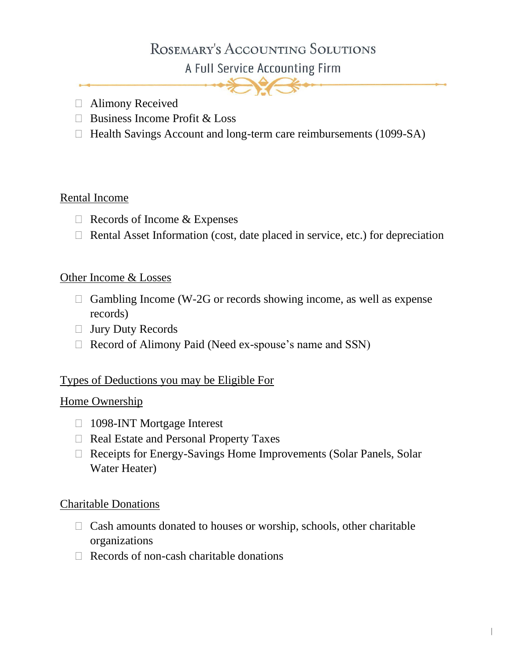# ROSEMARY'S ACCOUNTING SOLUTIONS

A Full Service Accounting Firm



- Alimony Received
- $\Box$  Business Income Profit & Loss
- $\Box$  Health Savings Account and long-term care reimbursements (1099-SA)

#### Rental Income

- $\Box$  Records of Income & Expenses
- $\Box$  Rental Asset Information (cost, date placed in service, etc.) for depreciation

#### Other Income & Losses

- $\Box$  Gambling Income (W-2G or records showing income, as well as expense records)
- Jury Duty Records
- $\Box$  Record of Alimony Paid (Need ex-spouse's name and SSN)

#### Types of Deductions you may be Eligible For

#### Home Ownership

- □ 1098-INT Mortgage Interest
- □ Real Estate and Personal Property Taxes
- Receipts for Energy-Savings Home Improvements (Solar Panels, Solar Water Heater)

#### Charitable Donations

- $\Box$  Cash amounts donated to houses or worship, schools, other charitable organizations
- $\Box$  Records of non-cash charitable donations